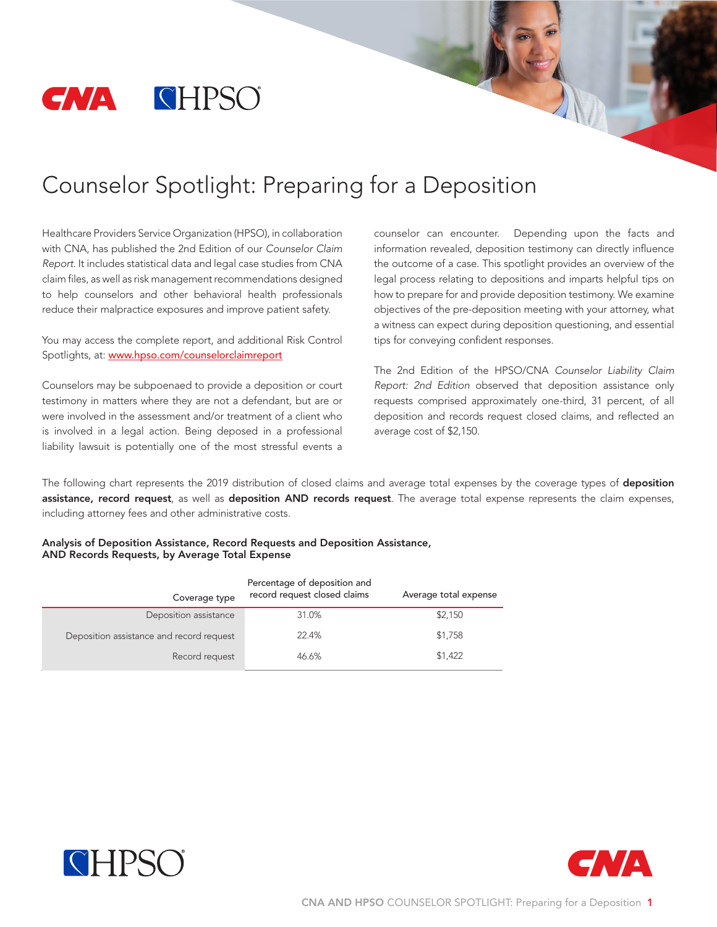

# Counselor Spotlight: Preparing for a Deposition

Healthcare Providers Service Organization (HPSO), in collaboration with CNA, has published the 2nd Edition of our *Counselor Claim Report*. It includes statistical data and legal case studies from CNA claim files, as well as risk management recommendations designed to help counselors and other behavioral health professionals reduce their malpractice exposures and improve patient safety.

You may access the complete report, and additional Risk Control Spotlights, at: www.hpso.com/counselorclaimreport

Counselors may be subpoenaed to provide a deposition or court testimony in matters where they are not a defendant, but are or were involved in the assessment and/or treatment of a client who is involved in a legal action. Being deposed in a professional liability lawsuit is potentially one of the most stressful events a

counselor can encounter. Depending upon the facts and information revealed, deposition testimony can directly influence the outcome of a case. This spotlight provides an overview of the legal process relating to depositions and imparts helpful tips on how to prepare for and provide deposition testimony. We examine objectives of the pre-deposition meeting with your attorney, what a witness can expect during deposition questioning, and essential tips for conveying confident responses.

The 2nd Edition of the HPSO/CNA *Counselor Liability Claim Report: 2nd Edition* observed that deposition assistance only requests comprised approximately one-third, 31 percent, of all deposition and records request closed claims, and reflected an average cost of \$2,150.

The following chart represents the 2019 distribution of closed claims and average total expenses by the coverage types of deposition assistance, record request, as well as deposition AND records request. The average total expense represents the claim expenses, including attorney fees and other administrative costs.

#### Analysis of Deposition Assistance, Record Requests and Deposition Assistance, AND Records Requests, by Average Total Expense

| Coverage type                            | Percentage of deposition and<br>record request closed claims | Average total expense |
|------------------------------------------|--------------------------------------------------------------|-----------------------|
| Deposition assistance                    | 31.0%                                                        | \$2,150               |
| Deposition assistance and record request | 22.4%                                                        | \$1,758               |
| Record request                           | 46.6%                                                        | \$1,422               |



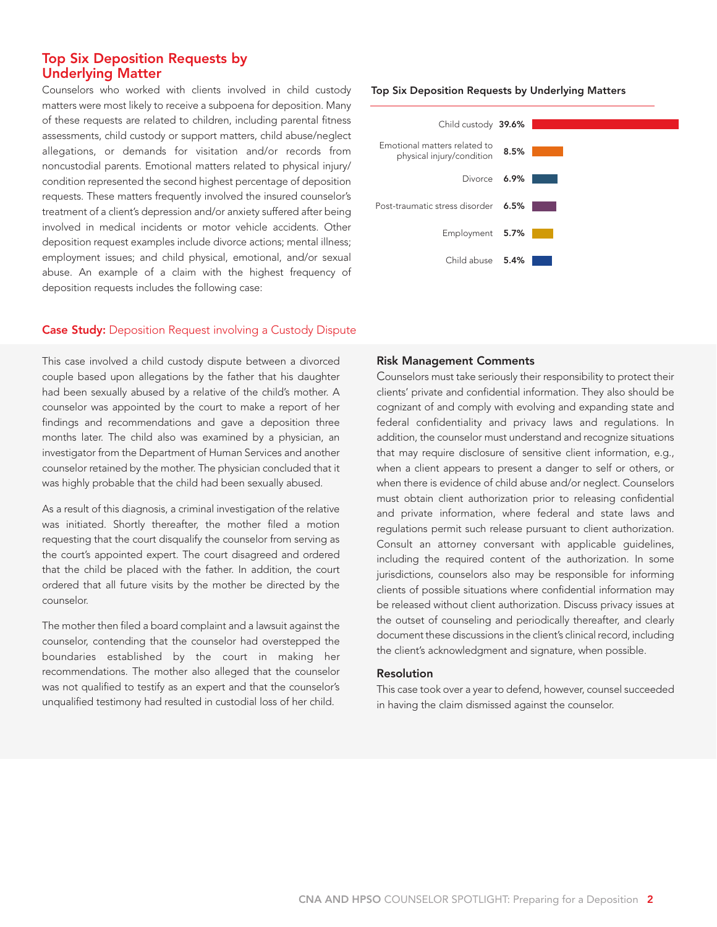#### Top Six Deposition Requests by Underlying Matter

Counselors who worked with clients involved in child custody matters were most likely to receive a subpoena for deposition. Many of these requests are related to children, including parental fitness assessments, child custody or support matters, child abuse/neglect allegations, or demands for visitation and/or records from noncustodial parents. Emotional matters related to physical injury/ condition represented the second highest percentage of deposition requests. These matters frequently involved the insured counselor's treatment of a client's depression and/or anxiety suffered after being involved in medical incidents or motor vehicle accidents. Other deposition request examples include divorce actions; mental illness; employment issues; and child physical, emotional, and/or sexual abuse. An example of a claim with the highest frequency of deposition requests includes the following case:

#### Top Six Deposition Requests by Underlying Matters



#### **Case Study:** Deposition Request involving a Custody Dispute

This case involved a child custody dispute between a divorced couple based upon allegations by the father that his daughter had been sexually abused by a relative of the child's mother. A counselor was appointed by the court to make a report of her findings and recommendations and gave a deposition three months later. The child also was examined by a physician, an investigator from the Department of Human Services and another counselor retained by the mother. The physician concluded that it was highly probable that the child had been sexually abused.

As a result of this diagnosis, a criminal investigation of the relative was initiated. Shortly thereafter, the mother filed a motion requesting that the court disqualify the counselor from serving as the court's appointed expert. The court disagreed and ordered that the child be placed with the father. In addition, the court ordered that all future visits by the mother be directed by the counselor.

The mother then filed a board complaint and a lawsuit against the counselor, contending that the counselor had overstepped the boundaries established by the court in making her recommendations. The mother also alleged that the counselor was not qualified to testify as an expert and that the counselor's unqualified testimony had resulted in custodial loss of her child.

#### Risk Management Comments

Counselors must take seriously their responsibility to protect their clients' private and confidential information. They also should be cognizant of and comply with evolving and expanding state and federal confidentiality and privacy laws and regulations. In addition, the counselor must understand and recognize situations that may require disclosure of sensitive client information, e.g., when a client appears to present a danger to self or others, or when there is evidence of child abuse and/or neglect. Counselors must obtain client authorization prior to releasing confidential and private information, where federal and state laws and regulations permit such release pursuant to client authorization. Consult an attorney conversant with applicable guidelines, including the required content of the authorization. In some jurisdictions, counselors also may be responsible for informing clients of possible situations where confidential information may be released without client authorization. Discuss privacy issues at the outset of counseling and periodically thereafter, and clearly document these discussions in the client's clinical record, including the client's acknowledgment and signature, when possible.

#### Resolution

This case took over a year to defend, however, counsel succeeded in having the claim dismissed against the counselor.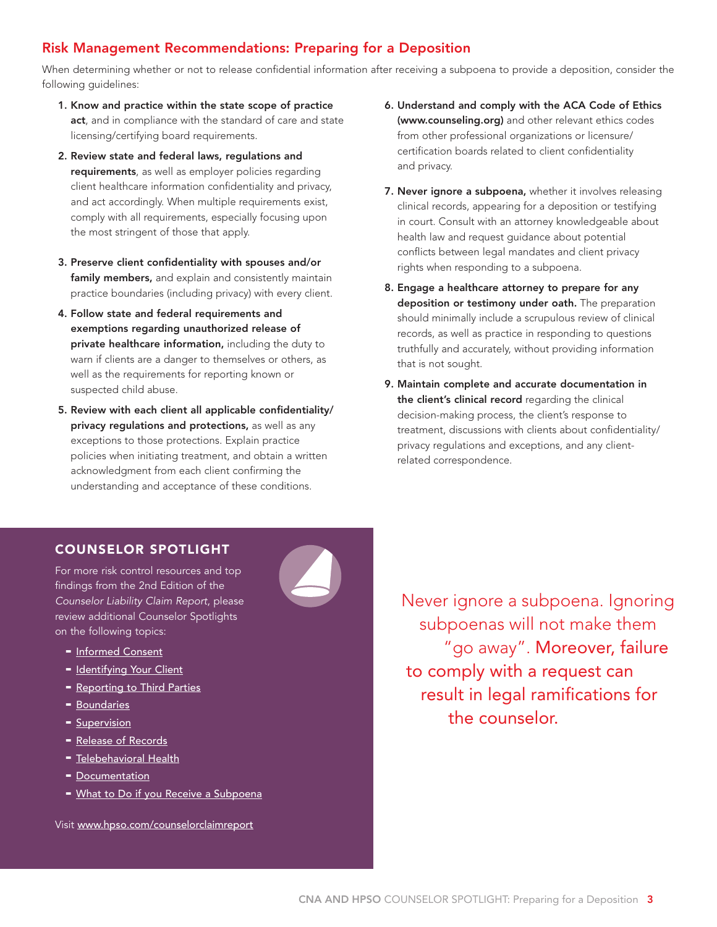# Risk Management Recommendations: Preparing for a Deposition

When determining whether or not to release confidential information after receiving a subpoena to provide a deposition, consider the following guidelines:

- 1. Know and practice within the state scope of practice act, and in compliance with the standard of care and state licensing/certifying board requirements.
- 2. Review state and federal laws, regulations and requirements, as well as employer policies regarding client healthcare information confidentiality and privacy, and act accordingly. When multiple requirements exist, comply with all requirements, especially focusing upon the most stringent of those that apply.
- 3. Preserve client confidentiality with spouses and/or family members, and explain and consistently maintain practice boundaries (including privacy) with every client.
- 4. Follow state and federal requirements and exemptions regarding unauthorized release of private healthcare information, including the duty to warn if clients are a danger to themselves or others, as well as the requirements for reporting known or suspected child abuse.
- 5. Review with each client all applicable confidentiality/ privacy regulations and protections, as well as any exceptions to those protections. Explain practice policies when initiating treatment, and obtain a written acknowledgment from each client confirming the understanding and acceptance of these conditions.
- 6. Understand and comply with the ACA Code of Ethics [\(www.counseling.org\)](http://www.counseling.org) and other relevant ethics codes from other professional organizations or licensure/ certification boards related to client confidentiality and privacy.
- 7. Never ignore a subpoena, whether it involves releasing clinical records, appearing for a deposition or testifying in court. Consult with an attorney knowledgeable about health law and request guidance about potential conflicts between legal mandates and client privacy rights when responding to a subpoena.
- 8. Engage a healthcare attorney to prepare for any deposition or testimony under oath. The preparation should minimally include a scrupulous review of clinical records, as well as practice in responding to questions truthfully and accurately, without providing information that is not sought.
- 9. Maintain complete and accurate documentation in the client's clinical record regarding the clinical decision-making process, the client's response to treatment, discussions with clients about confidentiality/ privacy regulations and exceptions, and any clientrelated correspondence.

## COUNSELOR SPOTLIGHT

For more risk control resources and top findings from the 2nd Edition of the *Counselor Liability Claim Report*, please review additional Counselor Spotlights on the following topics:

- [Informed Consent](http://www.hpso.com/counselorclaimreport_informedconsent)
- [Identifying Your Client](http://www.hpso.com/counselorclaimreport_client)
- [Reporting to Third Parties](http://www.hpso.com/counselorclaimreport_thirdparties)
- [Boundaries](http://www.hpso.com/counselorclaimreport_boundaries)
- [Supervision](http://www.hpso.com/counselorclaimreport_supervision)
- [Release of Records](http://www.hpso.com/counselorclaimreport_records)
- [Telebehavioral Health](http://www.hpso.com/counselorclaimreport_telebehavioralhealth)
- [Documentation](http://www.hpso.com/Documents/Risk%20Education/individuals/Claim-Reports/Counselor/F-13776-619_Documentation_Spotlight.pdf?refID=)
- [What to Do if you Receive a Subpoena](http://www.hpso.com/counselorclaimreport_subpoena)

Visit [www.hpso.com/counselorclaimreport](http://www.hpso.com/counselorclaimreport)

Never ignore a subpoena. Ignoring subpoenas will not make them "go away". Moreover, failure to comply with a request can result in legal ramifications for the counselor.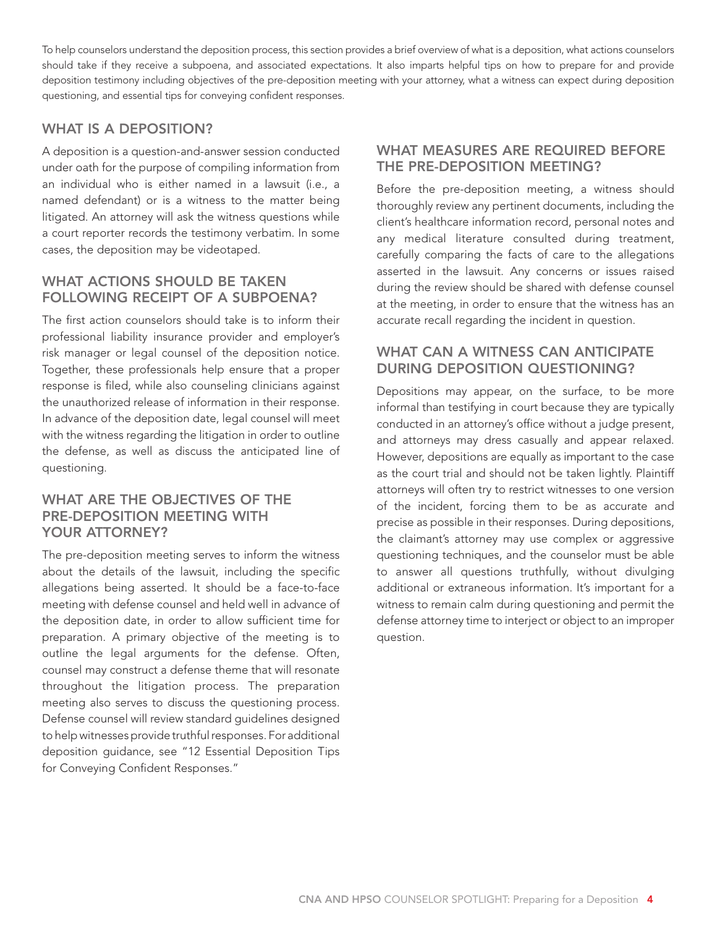To help counselors understand the deposition process, this section provides a brief overview of what is a deposition, what actions counselors should take if they receive a subpoena, and associated expectations. It also imparts helpful tips on how to prepare for and provide deposition testimony including objectives of the pre-deposition meeting with your attorney, what a witness can expect during deposition questioning, and essential tips for conveying confident responses.

## WHAT IS A DEPOSITION?

A deposition is a question-and-answer session conducted under oath for the purpose of compiling information from an individual who is either named in a lawsuit (i.e., a named defendant) or is a witness to the matter being litigated. An attorney will ask the witness questions while a court reporter records the testimony verbatim. In some cases, the deposition may be videotaped.

## WHAT ACTIONS SHOULD BE TAKEN FOLLOWING RECEIPT OF A SUBPOENA?

The first action counselors should take is to inform their professional liability insurance provider and employer's risk manager or legal counsel of the deposition notice. Together, these professionals help ensure that a proper response is filed, while also counseling clinicians against the unauthorized release of information in their response. In advance of the deposition date, legal counsel will meet with the witness regarding the litigation in order to outline the defense, as well as discuss the anticipated line of questioning.

#### WHAT ARE THE OBJECTIVES OF THE PRE-DEPOSITION MEETING WITH YOUR ATTORNEY?

The pre-deposition meeting serves to inform the witness about the details of the lawsuit, including the specific allegations being asserted. It should be a face-to-face meeting with defense counsel and held well in advance of the deposition date, in order to allow sufficient time for preparation. A primary objective of the meeting is to outline the legal arguments for the defense. Often, counsel may construct a defense theme that will resonate throughout the litigation process. The preparation meeting also serves to discuss the questioning process. Defense counsel will review standard guidelines designed to help witnesses provide truthful responses. For additional deposition guidance, see "12 Essential Deposition Tips for Conveying Confident Responses."

### WHAT MEASURES ARE REQUIRED BEFORE THE PRE-DEPOSITION MEETING?

Before the pre-deposition meeting, a witness should thoroughly review any pertinent documents, including the client's healthcare information record, personal notes and any medical literature consulted during treatment, carefully comparing the facts of care to the allegations asserted in the lawsuit. Any concerns or issues raised during the review should be shared with defense counsel at the meeting, in order to ensure that the witness has an accurate recall regarding the incident in question.

### WHAT CAN A WITNESS CAN ANTICIPATE DURING DEPOSITION QUESTIONING?

Depositions may appear, on the surface, to be more informal than testifying in court because they are typically conducted in an attorney's office without a judge present, and attorneys may dress casually and appear relaxed. However, depositions are equally as important to the case as the court trial and should not be taken lightly. Plaintiff attorneys will often try to restrict witnesses to one version of the incident, forcing them to be as accurate and precise as possible in their responses. During depositions, the claimant's attorney may use complex or aggressive questioning techniques, and the counselor must be able to answer all questions truthfully, without divulging additional or extraneous information. It's important for a witness to remain calm during questioning and permit the defense attorney time to interject or object to an improper question.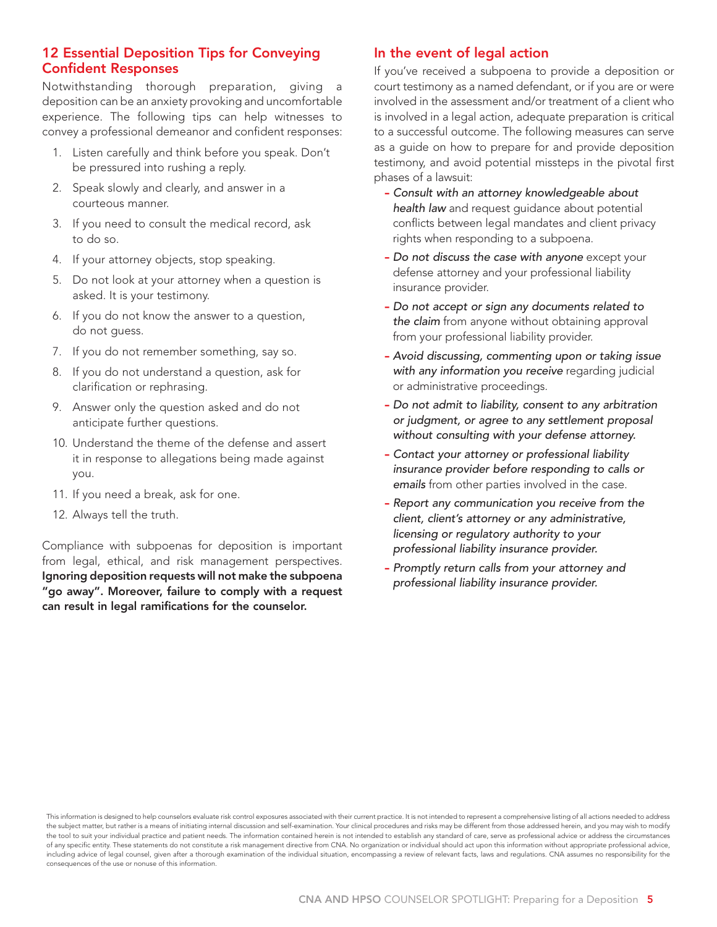## 12 Essential Deposition Tips for Conveying Confident Responses

Notwithstanding thorough preparation, giving a deposition can be an anxiety provoking and uncomfortable experience. The following tips can help witnesses to convey a professional demeanor and confident responses:

- 1. Listen carefully and think before you speak. Don't be pressured into rushing a reply.
- 2. Speak slowly and clearly, and answer in a courteous manner.
- 3. If you need to consult the medical record, ask to do so.
- 4. If your attorney objects, stop speaking.
- 5. Do not look at your attorney when a question is asked. It is your testimony.
- 6. If you do not know the answer to a question, do not guess.
- 7. If you do not remember something, say so.
- 8. If you do not understand a question, ask for clarification or rephrasing.
- 9. Answer only the question asked and do not anticipate further questions.
- 10. Understand the theme of the defense and assert it in response to allegations being made against you.
- 11. If you need a break, ask for one.
- 12. Always tell the truth.

Compliance with subpoenas for deposition is important from legal, ethical, and risk management perspectives. Ignoring deposition requests will not make the subpoena "go away". Moreover, failure to comply with a request can result in legal ramifications for the counselor.

### In the event of legal action

If you've received a subpoena to provide a deposition or court testimony as a named defendant, or if you are or were involved in the assessment and/or treatment of a client who is involved in a legal action, adequate preparation is critical to a successful outcome. The following measures can serve as a guide on how to prepare for and provide deposition testimony, and avoid potential missteps in the pivotal first phases of a lawsuit:

- *Consult with an attorney knowledgeable about health law* and request guidance about potential conflicts between legal mandates and client privacy rights when responding to a subpoena.
- *Do not discuss the case with anyone* except your defense attorney and your professional liability insurance provider.
- *Do not accept or sign any documents related to the claim* from anyone without obtaining approval from your professional liability provider.
- *Avoid discussing, commenting upon or taking issue with any information you receive* regarding judicial or administrative proceedings.
- *Do not admit to liability, consent to any arbitration or judgment, or agree to any settlement proposal without consulting with your defense attorney.*
- *Contact your attorney or professional liability insurance provider before responding to calls or emails* from other parties involved in the case.
- *Report any communication you receive from the client, client's attorney or any administrative, licensing or regulatory authority to your professional liability insurance provider.*
- *Promptly return calls from your attorney and professional liability insurance provider.*

This information is designed to help counselors evaluate risk control exposures associated with their current practice. It is not intended to represent a comprehensive listing of all actions needed to address the subject matter, but rather is a means of initiating internal discussion and self-examination. Your clinical procedures and risks may be different from those addressed herein, and you may wish to modify the tool to suit your individual practice and patient needs. The information contained herein is not intended to establish any standard of care, serve as professional advice or address the circumstances of any specific entity. These statements do not constitute a risk management directive from CNA. No organization or individual should act upon this information without appropriate professional advice, including advice of legal counsel, given after a thorough examination of the individual situation, encompassing a review of relevant facts, laws and regulations. CNA assumes no responsibility for the consequences of the use or nonuse of this information.